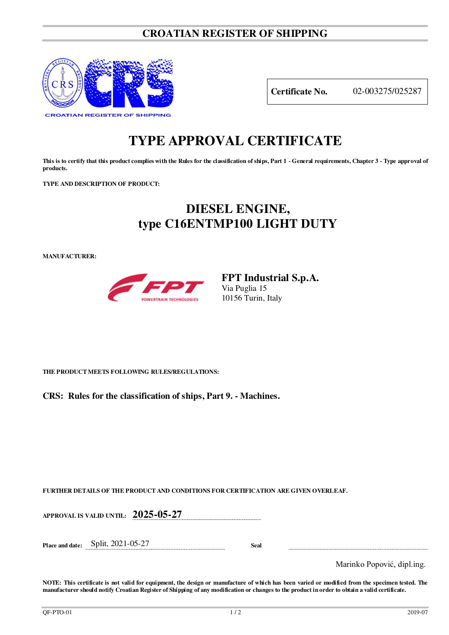### **CROATIAN REGISTER OF SHIPPING**



**Certificate No.** 02-003275/025287

# **TYPE APPROVAL CERTIFICATE**

**This is to certify that this product complies with the Rules for the classification of ships, Part 1 - General requirements, Chapter 3 - Type approval of products.** 

**TYPE AND DESCRIPTION OF PRODUCT:** 

## **DIESEL ENGINE, type C16ENTMP100 LIGHT DUTY**

**MANUFACTURER:**



**FPT Industrial S.p.A.**  Via Puglia 15 10156 Turin, Italy

**THE PRODUCT MEETS FOLLOWING RULES/REGULATIONS:**

**CRS: Rules for the classification of ships, Part 9. - Machines.**

**FURTHER DETAILS OF THE PRODUCT AND CONDITIONS FOR CERTIFICATION ARE GIVEN OVERLEAF.**

**APPROVAL IS VALID UNTIL: 2025-05-27**

**Place and date:** Split, 2021-05-27 **Seal** 

Marinko Popović, dipl.ing.

**NOTE: This certificate is not valid for equipment, the design or manufacture of which has been varied or modified from the specimen tested. The manufacturer should notify Croatian Register of Shipping of any modification or changes to the product in order to obtain a valid certificate.**